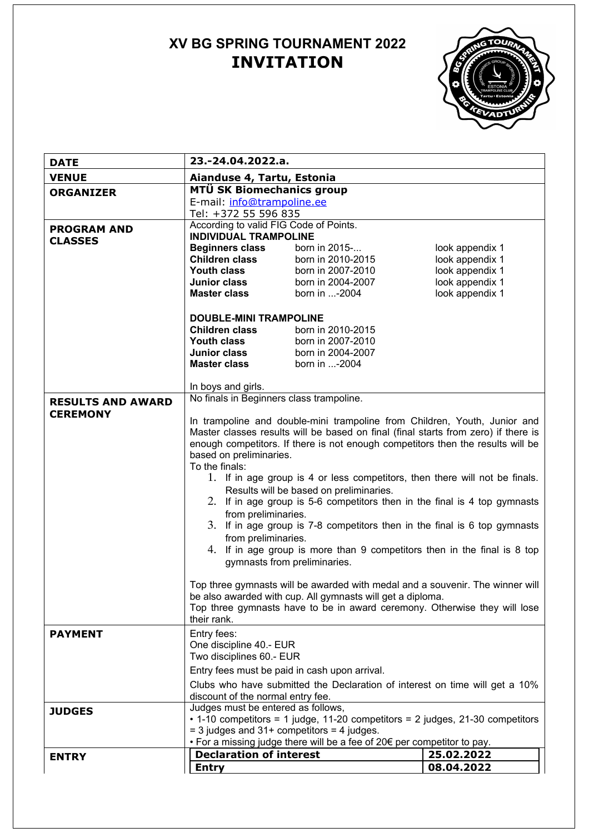# **XV BG SPRING TOURNAMENT 2022 INVITATION**



| <b>DATE</b>              | 23.-24.04.2022.a.                                                                                                      |                                                                                                                                                                 |                                    |  |  |
|--------------------------|------------------------------------------------------------------------------------------------------------------------|-----------------------------------------------------------------------------------------------------------------------------------------------------------------|------------------------------------|--|--|
| <b>VENUE</b>             | Aianduse 4, Tartu, Estonia                                                                                             |                                                                                                                                                                 |                                    |  |  |
| <b>ORGANIZER</b>         | MTÜ SK Biomechanics group                                                                                              |                                                                                                                                                                 |                                    |  |  |
|                          | E-mail: info@trampoline.ee                                                                                             |                                                                                                                                                                 |                                    |  |  |
|                          | Tel: +372 55 596 835                                                                                                   |                                                                                                                                                                 |                                    |  |  |
| <b>PROGRAM AND</b>       | According to valid FIG Code of Points.                                                                                 |                                                                                                                                                                 |                                    |  |  |
| <b>CLASSES</b>           | <b>INDIVIDUAL TRAMPOLINE</b>                                                                                           |                                                                                                                                                                 |                                    |  |  |
|                          | <b>Beginners class</b>                                                                                                 | born in 2015-                                                                                                                                                   | look appendix 1                    |  |  |
|                          | <b>Children class</b><br>Youth class                                                                                   | born in 2010-2015<br>born in 2007-2010                                                                                                                          | look appendix 1                    |  |  |
|                          | Junior class                                                                                                           | born in 2004-2007                                                                                                                                               | look appendix 1<br>look appendix 1 |  |  |
|                          | <b>Master class</b>                                                                                                    | born in -2004                                                                                                                                                   | look appendix 1                    |  |  |
|                          |                                                                                                                        |                                                                                                                                                                 |                                    |  |  |
|                          | <b>DOUBLE-MINI TRAMPOLINE</b>                                                                                          |                                                                                                                                                                 |                                    |  |  |
|                          | <b>Children class</b><br>born in 2010-2015                                                                             |                                                                                                                                                                 |                                    |  |  |
|                          | Youth class                                                                                                            | born in 2007-2010                                                                                                                                               |                                    |  |  |
|                          | Junior class                                                                                                           | born in 2004-2007                                                                                                                                               |                                    |  |  |
|                          | <b>Master class</b>                                                                                                    | born in -2004                                                                                                                                                   |                                    |  |  |
|                          |                                                                                                                        |                                                                                                                                                                 |                                    |  |  |
|                          | In boys and girls.                                                                                                     |                                                                                                                                                                 |                                    |  |  |
| <b>RESULTS AND AWARD</b> | No finals in Beginners class trampoline.                                                                               |                                                                                                                                                                 |                                    |  |  |
| <b>CEREMONY</b>          |                                                                                                                        |                                                                                                                                                                 |                                    |  |  |
|                          |                                                                                                                        | In trampoline and double-mini trampoline from Children, Youth, Junior and<br>Master classes results will be based on final (final starts from zero) if there is |                                    |  |  |
|                          |                                                                                                                        | enough competitors. If there is not enough competitors then the results will be                                                                                 |                                    |  |  |
|                          |                                                                                                                        |                                                                                                                                                                 |                                    |  |  |
|                          | based on preliminaries.<br>To the finals:                                                                              |                                                                                                                                                                 |                                    |  |  |
|                          |                                                                                                                        |                                                                                                                                                                 |                                    |  |  |
|                          | 1. If in age group is 4 or less competitors, then there will not be finals.<br>Results will be based on preliminaries. |                                                                                                                                                                 |                                    |  |  |
|                          | 2. If in age group is 5-6 competitors then in the final is 4 top gymnasts                                              |                                                                                                                                                                 |                                    |  |  |
|                          | from preliminaries.                                                                                                    |                                                                                                                                                                 |                                    |  |  |
|                          | 3. If in age group is 7-8 competitors then in the final is 6 top gymnasts                                              |                                                                                                                                                                 |                                    |  |  |
|                          | from preliminaries.                                                                                                    |                                                                                                                                                                 |                                    |  |  |
|                          | 4. If in age group is more than 9 competitors then in the final is 8 top                                               |                                                                                                                                                                 |                                    |  |  |
|                          | gymnasts from preliminaries.                                                                                           |                                                                                                                                                                 |                                    |  |  |
|                          |                                                                                                                        |                                                                                                                                                                 |                                    |  |  |
|                          | Top three gymnasts will be awarded with medal and a souvenir. The winner will                                          |                                                                                                                                                                 |                                    |  |  |
|                          |                                                                                                                        | be also awarded with cup. All gymnasts will get a diploma.                                                                                                      |                                    |  |  |
|                          |                                                                                                                        | Top three gymnasts have to be in award ceremony. Otherwise they will lose                                                                                       |                                    |  |  |
|                          | their rank.                                                                                                            |                                                                                                                                                                 |                                    |  |  |
| <b>PAYMENT</b>           | Entry fees:                                                                                                            |                                                                                                                                                                 |                                    |  |  |
|                          | One discipline 40.- EUR                                                                                                |                                                                                                                                                                 |                                    |  |  |
|                          | Two disciplines 60.- EUR                                                                                               |                                                                                                                                                                 |                                    |  |  |
|                          | Entry fees must be paid in cash upon arrival.                                                                          |                                                                                                                                                                 |                                    |  |  |
|                          |                                                                                                                        | Clubs who have submitted the Declaration of interest on time will get a 10%                                                                                     |                                    |  |  |
|                          | discount of the normal entry fee.                                                                                      |                                                                                                                                                                 |                                    |  |  |
| <b>JUDGES</b>            | Judges must be entered as follows,                                                                                     |                                                                                                                                                                 |                                    |  |  |
|                          | • 1-10 competitors = 1 judge, 11-20 competitors = 2 judges, 21-30 competitors                                          |                                                                                                                                                                 |                                    |  |  |
|                          | $=$ 3 judges and 31+ competitors $=$ 4 judges.                                                                         |                                                                                                                                                                 |                                    |  |  |
|                          | $\bullet$ For a missing judge there will be a fee of 20 $\epsilon$ per competitor to pay.                              |                                                                                                                                                                 |                                    |  |  |
| <b>ENTRY</b>             | <b>Declaration of interest</b>                                                                                         |                                                                                                                                                                 | 25.02.2022                         |  |  |
|                          | <b>Entry</b>                                                                                                           |                                                                                                                                                                 | 08.04.2022                         |  |  |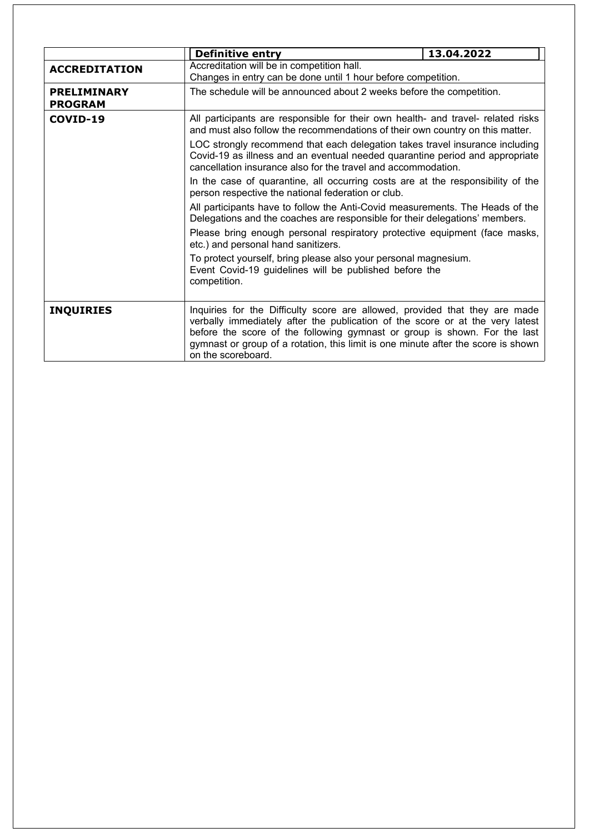|                                      | <b>Definitive entry</b>                                                                                                                                                                                                                                                                                                                                                                                                                                                                                                                     | 13.04.2022 |  |  |
|--------------------------------------|---------------------------------------------------------------------------------------------------------------------------------------------------------------------------------------------------------------------------------------------------------------------------------------------------------------------------------------------------------------------------------------------------------------------------------------------------------------------------------------------------------------------------------------------|------------|--|--|
| <b>ACCREDITATION</b>                 | Accreditation will be in competition hall.<br>Changes in entry can be done until 1 hour before competition.                                                                                                                                                                                                                                                                                                                                                                                                                                 |            |  |  |
| <b>PRELIMINARY</b><br><b>PROGRAM</b> | The schedule will be announced about 2 weeks before the competition.                                                                                                                                                                                                                                                                                                                                                                                                                                                                        |            |  |  |
| COVID-19                             | All participants are responsible for their own health- and travel- related risks<br>and must also follow the recommendations of their own country on this matter.<br>LOC strongly recommend that each delegation takes travel insurance including<br>Covid-19 as illness and an eventual needed quarantine period and appropriate<br>cancellation insurance also for the travel and accommodation.<br>In the case of quarantine, all occurring costs are at the responsibility of the<br>person respective the national federation or club. |            |  |  |
|                                      |                                                                                                                                                                                                                                                                                                                                                                                                                                                                                                                                             |            |  |  |
|                                      |                                                                                                                                                                                                                                                                                                                                                                                                                                                                                                                                             |            |  |  |
|                                      | All participants have to follow the Anti-Covid measurements. The Heads of the<br>Delegations and the coaches are responsible for their delegations' members.                                                                                                                                                                                                                                                                                                                                                                                |            |  |  |
|                                      | Please bring enough personal respiratory protective equipment (face masks,<br>etc.) and personal hand sanitizers.                                                                                                                                                                                                                                                                                                                                                                                                                           |            |  |  |
|                                      | To protect yourself, bring please also your personal magnesium.<br>Event Covid-19 guidelines will be published before the<br>competition.                                                                                                                                                                                                                                                                                                                                                                                                   |            |  |  |
| <b>INQUIRIES</b>                     | Inquiries for the Difficulty score are allowed, provided that they are made<br>verbally immediately after the publication of the score or at the very latest<br>before the score of the following gymnast or group is shown. For the last<br>gymnast or group of a rotation, this limit is one minute after the score is shown<br>on the scoreboard.                                                                                                                                                                                        |            |  |  |